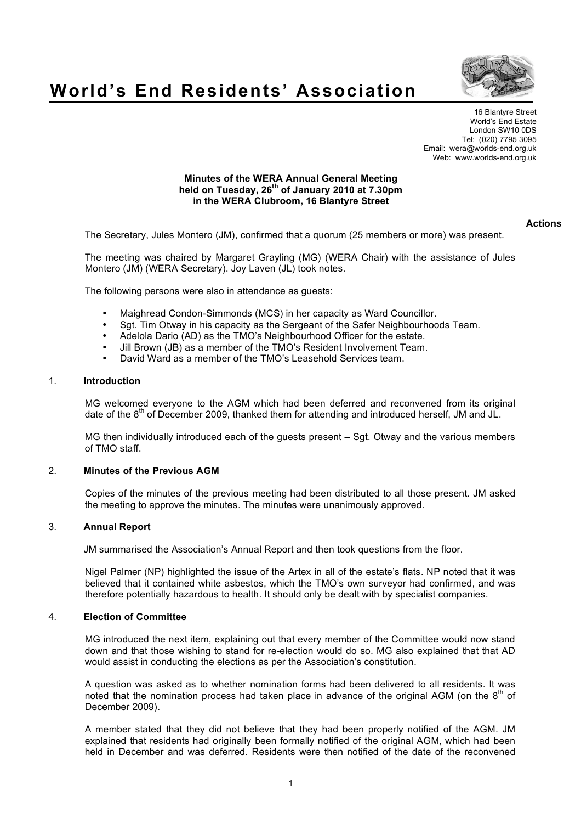

# **World's End Residents' Association**

16 Blantyre Street World's End Estate London SW10 0DS Tel: (020) 7795 3095 Email: wera@worlds-end.org.uk Web: www.worlds-end.org.uk

### **Minutes of the WERA Annual General Meeting held on Tuesday, 26th of January 2010 at 7.30pm in the WERA Clubroom, 16 Blantyre Street**

|    |                                                                                                                                                                                                                                                                                                                                                                                                                                          | <b>Actions</b> |
|----|------------------------------------------------------------------------------------------------------------------------------------------------------------------------------------------------------------------------------------------------------------------------------------------------------------------------------------------------------------------------------------------------------------------------------------------|----------------|
|    | The Secretary, Jules Montero (JM), confirmed that a quorum (25 members or more) was present.                                                                                                                                                                                                                                                                                                                                             |                |
|    | The meeting was chaired by Margaret Grayling (MG) (WERA Chair) with the assistance of Jules<br>Montero (JM) (WERA Secretary). Joy Laven (JL) took notes.                                                                                                                                                                                                                                                                                 |                |
|    | The following persons were also in attendance as guests:                                                                                                                                                                                                                                                                                                                                                                                 |                |
|    | Maighread Condon-Simmonds (MCS) in her capacity as Ward Councillor.<br>$\bullet$<br>Sgt. Tim Otway in his capacity as the Sergeant of the Safer Neighbourhoods Team.<br>$\bullet$<br>Adelola Dario (AD) as the TMO's Neighbourhood Officer for the estate.<br>$\bullet$<br>Jill Brown (JB) as a member of the TMO's Resident Involvement Team.<br>$\bullet$<br>David Ward as a member of the TMO's Leasehold Services team.<br>$\bullet$ |                |
| 1. | <b>Introduction</b>                                                                                                                                                                                                                                                                                                                                                                                                                      |                |
|    | MG welcomed everyone to the AGM which had been deferred and reconvened from its original<br>date of the 8 <sup>th</sup> of December 2009, thanked them for attending and introduced herself, JM and JL.                                                                                                                                                                                                                                  |                |
|    | MG then individually introduced each of the guests present - Sgt. Otway and the various members<br>of TMO staff.                                                                                                                                                                                                                                                                                                                         |                |
| 2. | <b>Minutes of the Previous AGM</b>                                                                                                                                                                                                                                                                                                                                                                                                       |                |
|    | Copies of the minutes of the previous meeting had been distributed to all those present. JM asked<br>the meeting to approve the minutes. The minutes were unanimously approved.                                                                                                                                                                                                                                                          |                |
| 3. | <b>Annual Report</b>                                                                                                                                                                                                                                                                                                                                                                                                                     |                |
|    | JM summarised the Association's Annual Report and then took questions from the floor.                                                                                                                                                                                                                                                                                                                                                    |                |
|    | Nigel Palmer (NP) highlighted the issue of the Artex in all of the estate's flats. NP noted that it was<br>believed that it contained white asbestos, which the TMO's own surveyor had confirmed, and was<br>therefore potentially hazardous to health. It should only be dealt with by specialist companies.                                                                                                                            |                |
| 4. | <b>Election of Committee</b>                                                                                                                                                                                                                                                                                                                                                                                                             |                |
|    | MG introduced the next item, explaining out that every member of the Committee would now stand<br>down and that those wishing to stand for re-election would do so. MG also explained that that AD<br>would assist in conducting the elections as per the Association's constitution.                                                                                                                                                    |                |
|    | A question was asked as to whether nomination forms had been delivered to all residents. It was<br>noted that the nomination process had taken place in advance of the original AGM (on the 8 <sup>th</sup> of<br>December 2009).                                                                                                                                                                                                        |                |

A member stated that they did not believe that they had been properly notified of the AGM. JM explained that residents had originally been formally notified of the original AGM, which had been held in December and was deferred. Residents were then notified of the date of the reconvened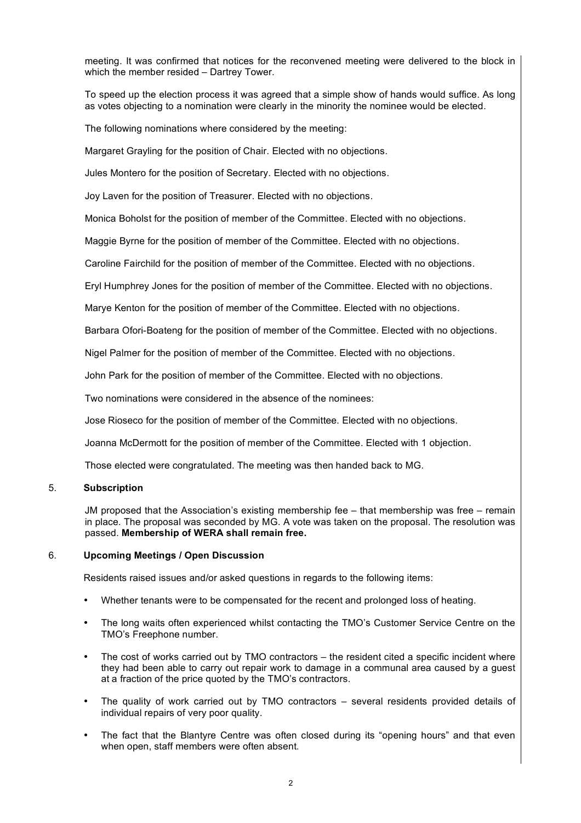meeting. It was confirmed that notices for the reconvened meeting were delivered to the block in which the member resided – Dartrey Tower.

To speed up the election process it was agreed that a simple show of hands would suffice. As long as votes objecting to a nomination were clearly in the minority the nominee would be elected.

The following nominations where considered by the meeting:

Margaret Grayling for the position of Chair. Elected with no objections.

Jules Montero for the position of Secretary. Elected with no objections.

Joy Laven for the position of Treasurer. Elected with no objections.

Monica Boholst for the position of member of the Committee. Elected with no objections.

Maggie Byrne for the position of member of the Committee. Elected with no objections.

Caroline Fairchild for the position of member of the Committee. Elected with no objections.

Eryl Humphrey Jones for the position of member of the Committee. Elected with no objections.

Marye Kenton for the position of member of the Committee. Elected with no objections.

Barbara Ofori-Boateng for the position of member of the Committee. Elected with no objections.

Nigel Palmer for the position of member of the Committee. Elected with no objections.

John Park for the position of member of the Committee. Elected with no objections.

Two nominations were considered in the absence of the nominees:

Jose Rioseco for the position of member of the Committee. Elected with no objections.

Joanna McDermott for the position of member of the Committee. Elected with 1 objection.

Those elected were congratulated. The meeting was then handed back to MG.

#### 5. **Subscription**

JM proposed that the Association's existing membership fee – that membership was free – remain in place. The proposal was seconded by MG. A vote was taken on the proposal. The resolution was passed. **Membership of WERA shall remain free.**

#### 6. **Upcoming Meetings / Open Discussion**

Residents raised issues and/or asked questions in regards to the following items:

- Whether tenants were to be compensated for the recent and prolonged loss of heating.
- The long waits often experienced whilst contacting the TMO's Customer Service Centre on the TMO's Freephone number.
- The cost of works carried out by TMO contractors the resident cited a specific incident where they had been able to carry out repair work to damage in a communal area caused by a guest at a fraction of the price quoted by the TMO's contractors.
- The quality of work carried out by TMO contractors several residents provided details of individual repairs of very poor quality.
- The fact that the Blantyre Centre was often closed during its "opening hours" and that even when open, staff members were often absent.